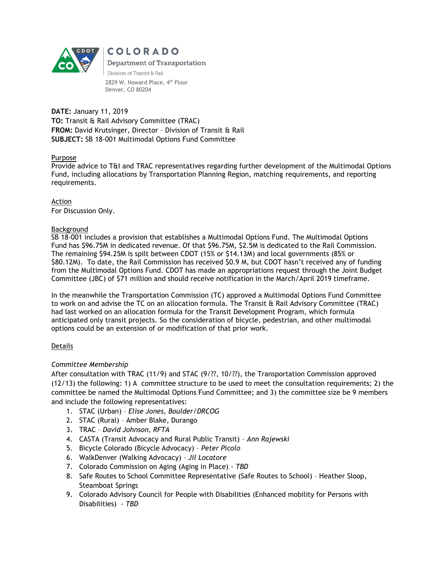

COLORADO **Department of Transportation** 

Division of Transit & Rail 2829 W. Howard Place, 4<sup>th</sup> Floor Denver, CO 80204

**DATE:** January 11, 2019 **TO:** Transit & Rail Advisory Committee (TRAC) **FROM:** David Krutsinger, Director – Division of Transit & Rail **SUBJECT:** SB 18-001 Multimodal Options Fund Committee

#### Purpose

Provide advice to T&I and TRAC representatives regarding further development of the Multimodal Options Fund, including allocations by Transportation Planning Region, matching requirements, and reporting requirements.

Action For Discussion Only.

#### Background

SB 18-001 includes a provision that establishes a Multimodal Options Fund. The Multimodal Options Fund has \$96.75M in dedicated revenue. Of that \$96.75M, \$2.5M is dedicated to the Rail Commission. The remaining \$94.25M is spilt between CDOT (15% or \$14.13M) and local governments (85% or \$80.12M). To date, the Rail Commission has received \$0.9 M, but CDOT hasn't received any of funding from the Multimodal Options Fund. CDOT has made an appropriations request through the Joint Budget Committee (JBC) of \$71 million and should receive notification in the March/April 2019 timeframe.

In the meanwhile the Transportation Commission (TC) approved a Multimodal Options Fund Committee to work on and advise the TC on an allocation formula. The Transit & Rail Advisory Committee (TRAC) had last worked on an allocation formula for the Transit Development Program, which formula anticipated only transit projects. So the consideration of bicycle, pedestrian, and other multimodal options could be an extension of or modification of that prior work.

## Details

## *Committee Membership*

After consultation with TRAC (11/9) and STAC (9/??, 10/??), the Transportation Commission approved (12/13) the following: 1) A committee structure to be used to meet the consultation requirements; 2) the committee be named the Multimodal Options Fund Committee; and 3) the committee size be 9 members and include the following representatives:

- 1. STAC (Urban) *Elise Jones, Boulder/DRCOG*
- 2. STAC (Rural) Amber Blake, Durango
- 3. TRAC *David Johnson, RFTA*
- 4. CASTA (Transit Advocacy and Rural Public Transit) *Ann Rajewski*
- 5. Bicycle Colorado (Bicycle Advocacy) *Peter Picolo*
- 6. WalkDenver (Walking Advocacy) *Jil Locatore*
- 7. Colorado Commission on Aging (Aging in Place) *TBD*
- 8. Safe Routes to School Committee Representative (Safe Routes to School) Heather Sloop, Steamboat Springs
- 9. Colorado Advisory Council for People with Disabilities (Enhanced mobility for Persons with Disabilities) - *TBD*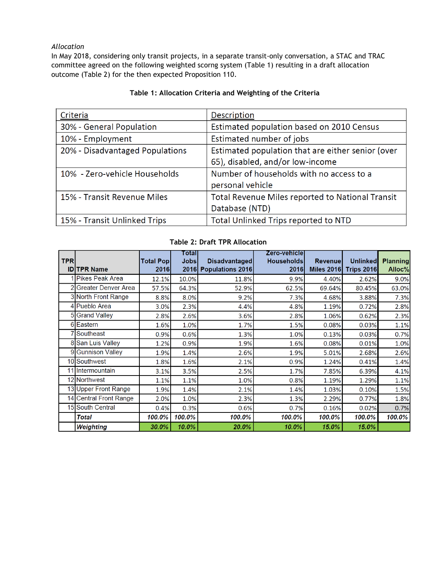*Allocation*

In May 2018, considering only transit projects, in a separate transit-only conversation, a STAC and TRAC committee agreed on the following weighted scorng system (Table 1) resulting in a draft allocation outcome (Table 2) for the then expected Proposition 110.

| Criteria                        | Description                                       |
|---------------------------------|---------------------------------------------------|
| 30% - General Population        | Estimated population based on 2010 Census         |
| 10% - Employment                | Estimated number of jobs                          |
| 20% - Disadvantaged Populations | Estimated population that are either senior (over |
|                                 | 65), disabled, and/or low-income                  |
| 10% - Zero-vehicle Households   | Number of households with no access to a          |
|                                 | personal vehicle                                  |
| 15% - Transit Revenue Miles     | Total Revenue Miles reported to National Transit  |
|                                 | Database (NTD)                                    |
| 15% - Transit Unlinked Trips    | Total Unlinked Trips reported to NTD              |

## **Table 1: Allocation Criteria and Weighting of the Criteria**

|             |                            |                   | Totall      |                         | Zero-vehicle      |                   |                   |                 |
|-------------|----------------------------|-------------------|-------------|-------------------------|-------------------|-------------------|-------------------|-----------------|
| <b>TPRI</b> |                            | <b>Total Popl</b> | Jobsl       | <b>Disadvantaged</b>    | <b>Households</b> | <b>Revenuel</b>   | <b>Unlinked</b>   | <b>Planning</b> |
| ID.         | <b>TPR Name</b>            | <b>2016</b>       | <b>2016</b> | <b>Populations 2016</b> | 2016              | <b>Miles 2016</b> | <b>Trips 2016</b> | Alloc%          |
|             | 1 Pikes Peak Area          | 12.1%             | 10.0%       | 11.8%                   | 9.9%              | 4.40%             | 2.62%             | 9.0%            |
|             | <b>Greater Denver Area</b> | 57.5%             | 64.3%       | 52.9%                   | 62.5%             | 69.64%            | 80.45%            | 63.0%           |
|             | 3 North Front Range        | 8.8%              | 8.0%        | 9.2%                    | 7.3%              | 4.68%             | 3.88%             | 7.3%            |
|             | 4 Pueblo Area              | 3.0%              | 2.3%        | 4.4%                    | 4.8%              | 1.19%             | 0.72%             | 2.8%            |
|             | 5 Grand Valley             | 2.8%              | 2.6%        | 3.6%                    | 2.8%              | 1.06%             | 0.62%             | 2.3%            |
|             | 6 Eastern                  | 1.6%              | 1.0%        | 1.7%                    | 1.5%              | 0.08%             | 0.03%             | 1.1%            |
|             | Southeast                  | 0.9%              | 0.6%        | 1.3%                    | 1.0%              | 0.13%             | 0.03%             | 0.7%            |
|             | 8 San Luis Valley          | 1.2%              | 0.9%        | 1.9%                    | 1.6%              | 0.08%             | 0.01%             | 1.0%            |
| 9           | <b>Gunnison Valley</b>     | 1.9%              | 1.4%        | 2.6%                    | 1.9%              | 5.01%             | 2.68%             | 2.6%            |
|             | 10 Southwest               | 1.8%              | 1.6%        | 2.1%                    | 0.9%              | 1.24%             | 0.41%             | 1.4%            |
|             | 11 Intermountain           | 3.1%              | 3.5%        | 2.5%                    | 1.7%              | 7.85%             | 6.39%             | 4.1%            |
|             | 12 Northwest               | 1.1%              | 1.1%        | 1.0%                    | 0.8%              | 1.19%             | 1.29%             | 1.1%            |
|             | 13 Upper Front Range       | 1.9%              | 1.4%        | 2.1%                    | 1.4%              | 1.03%             | 0.10%             | 1.5%            |
|             | 14 Central Front Range     | 2.0%              | 1.0%        | 2.3%                    | 1.3%              | 2.29%             | 0.77%             | 1.8%            |
|             | 15 South Central           | 0.4%              | 0.3%        | 0.6%                    | 0.7%              | 0.16%             | 0.02%             | 0.7%            |
|             | <b>Total</b>               | 100.0%            | 100.0%      | 100.0%                  | 100.0%            | 100.0%            | 100.0%            | 100.0%          |
|             | <b>Weighting</b>           | 30.0%             | 10.0%       | 20.0%                   | 10.0%             | 15.0%             | 15.0%             |                 |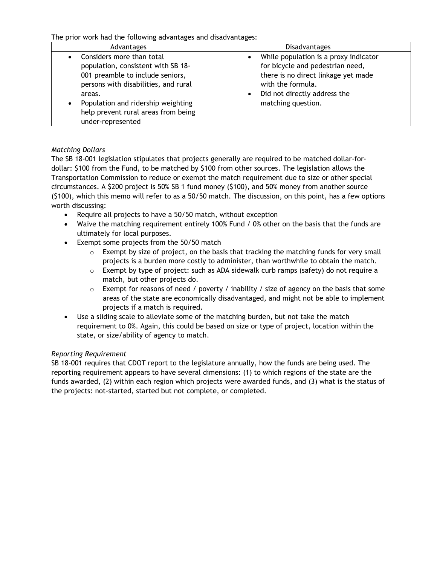The prior work had the following advantages and disadvantages:

| Advantages                                                                                                                                                                                                                                              | <b>Disadvantages</b>                                                                                                                                                                                     |
|---------------------------------------------------------------------------------------------------------------------------------------------------------------------------------------------------------------------------------------------------------|----------------------------------------------------------------------------------------------------------------------------------------------------------------------------------------------------------|
| Considers more than total<br>population, consistent with SB 18-<br>001 preamble to include seniors,<br>persons with disabilities, and rural<br>areas.<br>Population and ridership weighting<br>help prevent rural areas from being<br>under-represented | While population is a proxy indicator<br>for bicycle and pedestrian need,<br>there is no direct linkage yet made<br>with the formula.<br>Did not directly address the<br>$\bullet$<br>matching question. |

# *Matching Dollars*

The SB 18-001 legislation stipulates that projects generally are required to be matched dollar-fordollar: \$100 from the Fund, to be matched by \$100 from other sources. The legislation allows the Transportation Commission to reduce or exempt the match requirement due to size or other special circumstances. A \$200 project is 50% SB 1 fund money (\$100), and 50% money from another source (\$100), which this memo will refer to as a 50/50 match. The discussion, on this point, has a few options worth discussing:

- Require all projects to have a 50/50 match, without exception
- Waive the matching requirement entirely 100% Fund / 0% other on the basis that the funds are ultimately for local purposes.
- Exempt some projects from the 50/50 match
	- $\circ$  Exempt by size of project, on the basis that tracking the matching funds for very small projects is a burden more costly to administer, than worthwhile to obtain the match.
	- $\circ$  Exempt by type of project: such as ADA sidewalk curb ramps (safety) do not require a match, but other projects do.
	- $\circ$  Exempt for reasons of need / poverty / inability / size of agency on the basis that some areas of the state are economically disadvantaged, and might not be able to implement projects if a match is required.
- Use a sliding scale to alleviate some of the matching burden, but not take the match requirement to 0%. Again, this could be based on size or type of project, location within the state, or size/ability of agency to match.

# *Reporting Requirement*

SB 18-001 requires that CDOT report to the legislature annually, how the funds are being used. The reporting requirement appears to have several dimensions: (1) to which regions of the state are the funds awarded, (2) within each region which projects were awarded funds, and (3) what is the status of the projects: not-started, started but not complete, or completed.